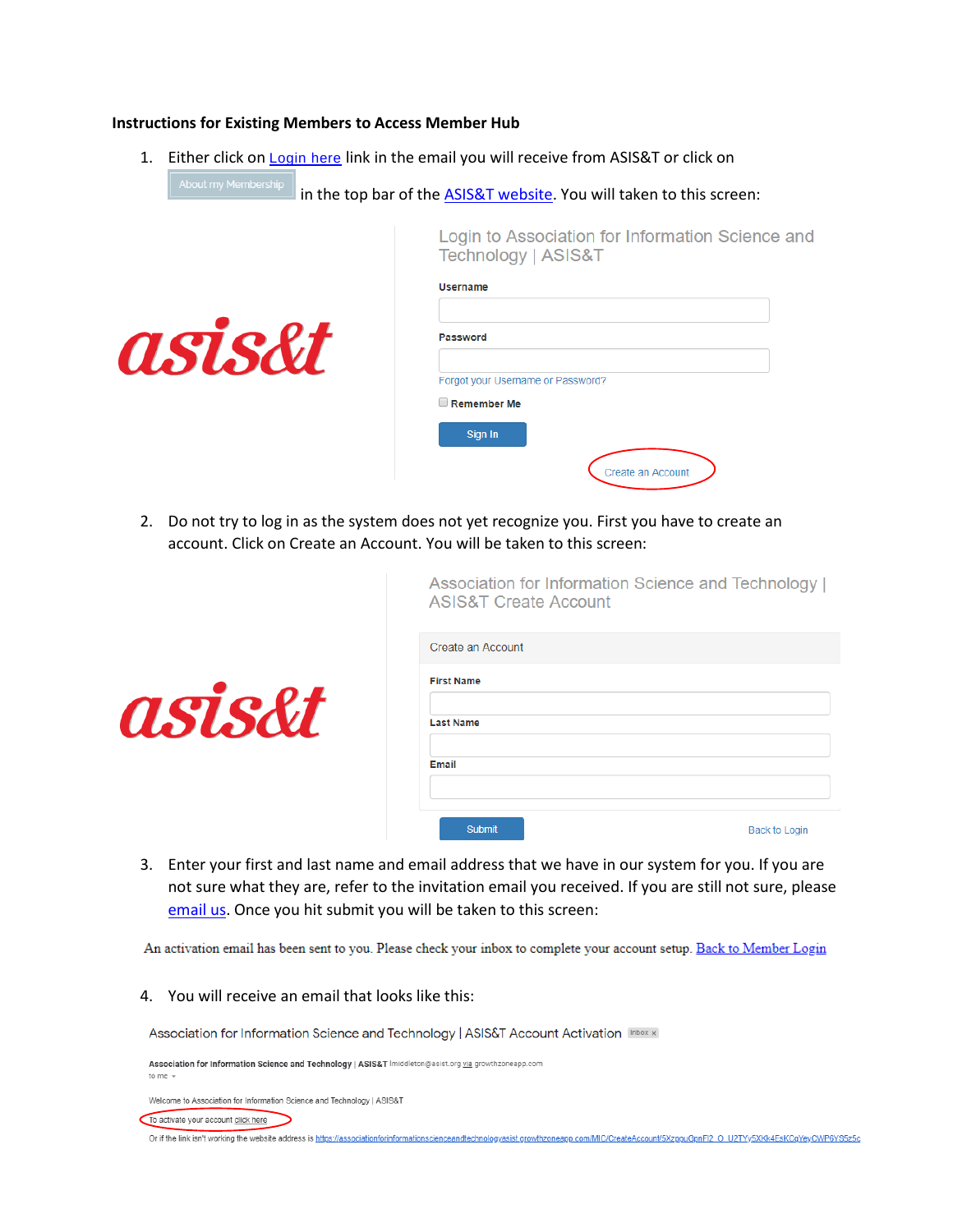## **Instructions for Existing Members to Access Member Hub**

asis&t

1. Either click on [Login here](https://associationforinformationscienceandtechnologyasist.growthzoneapp.com/MIC/static/MyInfo) link in the email you will receive from ASIS&T or click on

About my Membership  $\left\|$  in the top bar of the  $\frac{\text{ASIS&T website}}{\text{ASIS&T website}}$ . You will taken to this screen:

Login to Association for Information Science and Technology | ASIS&T

| <b>Username</b>                   |                   |
|-----------------------------------|-------------------|
| <b>Password</b>                   |                   |
| Forgot your Username or Password? |                   |
| Remember Me                       |                   |
| Sign In                           |                   |
|                                   | Create an Account |

Association for Information Science and Technology I

2. Do not try to log in as the system does not yet recognize you. First you have to create an account. Click on Create an Account. You will be taken to this screen:

|        | <b>ASIS&amp;T Create Account</b> |                      |
|--------|----------------------------------|----------------------|
|        | Create an Account                |                      |
|        | <b>First Name</b>                |                      |
| asis&t | <b>Last Name</b>                 |                      |
|        | Email                            |                      |
|        | <b>Submit</b>                    | <b>Back to Login</b> |

3. Enter your first and last name and email address that we have in our system for you. If you are not sure what they are, refer to the invitation email you received. If you are still not sure, please [email us.](mailto:membership@asist.org) Once you hit submit you will be taken to this screen:

An activation email has been sent to you. Please check your inbox to complete your account setup. Back to Member Login

4. You will receive an email that looks like this:

Association for Information Science and Technology | ASIS&T Account Activation Inbox x

Association for Information Science and Technology | ASIS&T Imiddleton@asist.org via growthzoneapp.com

Welcome to Association for Information Science and Technology | ASIS&T

To activate your account click here

Or if the link isn't working the website address is https://associationformformationscienceandtechnologyasist.growthzoneapp.com/MIC/CreateAccount/5XzppuGpnFI2 O U2TYy5XKk4EsKCqYeyCWP6YS5z5c